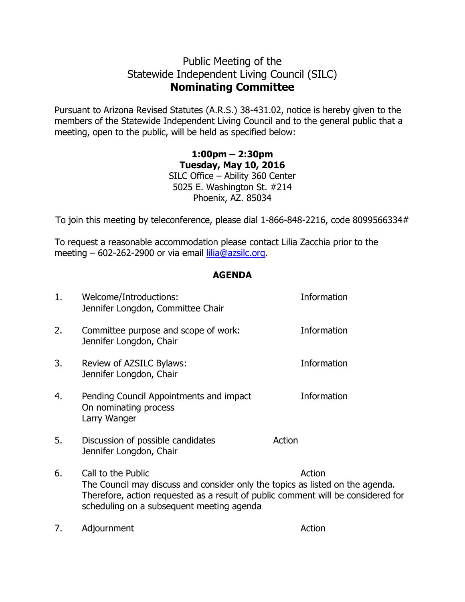## Public Meeting of the Statewide Independent Living Council (SILC) **Nominating Committee**

Pursuant to Arizona Revised Statutes (A.R.S.) 38-431.02, notice is hereby given to the members of the Statewide Independent Living Council and to the general public that a meeting, open to the public, will be held as specified below:

> **1:00pm – 2:30pm Tuesday, May 10, 2016** SILC Office – Ability 360 Center 5025 E. Washington St. #214 Phoenix, AZ. 85034

To join this meeting by teleconference, please dial 1-866-848-2216, code 8099566334#

To request a reasonable accommodation please contact Lilia Zacchia prior to the meeting – 602-262-2900 or via email [lilia@azsilc.org.](mailto:lilia@azsilc.org)

## **AGENDA**

| 1. | Welcome/Introductions:<br>Jennifer Longdon, Committee Chair                                                                                                                                                                                    | Information |
|----|------------------------------------------------------------------------------------------------------------------------------------------------------------------------------------------------------------------------------------------------|-------------|
| 2. | Committee purpose and scope of work:<br>Jennifer Longdon, Chair                                                                                                                                                                                | Information |
| 3. | Review of AZSILC Bylaws:<br>Jennifer Longdon, Chair                                                                                                                                                                                            | Information |
| 4. | Pending Council Appointments and impact<br>On nominating process<br>Larry Wanger                                                                                                                                                               | Information |
| 5. | Discussion of possible candidates<br>Jennifer Longdon, Chair                                                                                                                                                                                   | Action      |
| 6. | Call to the Public<br>Action<br>The Council may discuss and consider only the topics as listed on the agenda.<br>Therefore, action requested as a result of public comment will be considered for<br>scheduling on a subsequent meeting agenda |             |

7. Adjournment Action